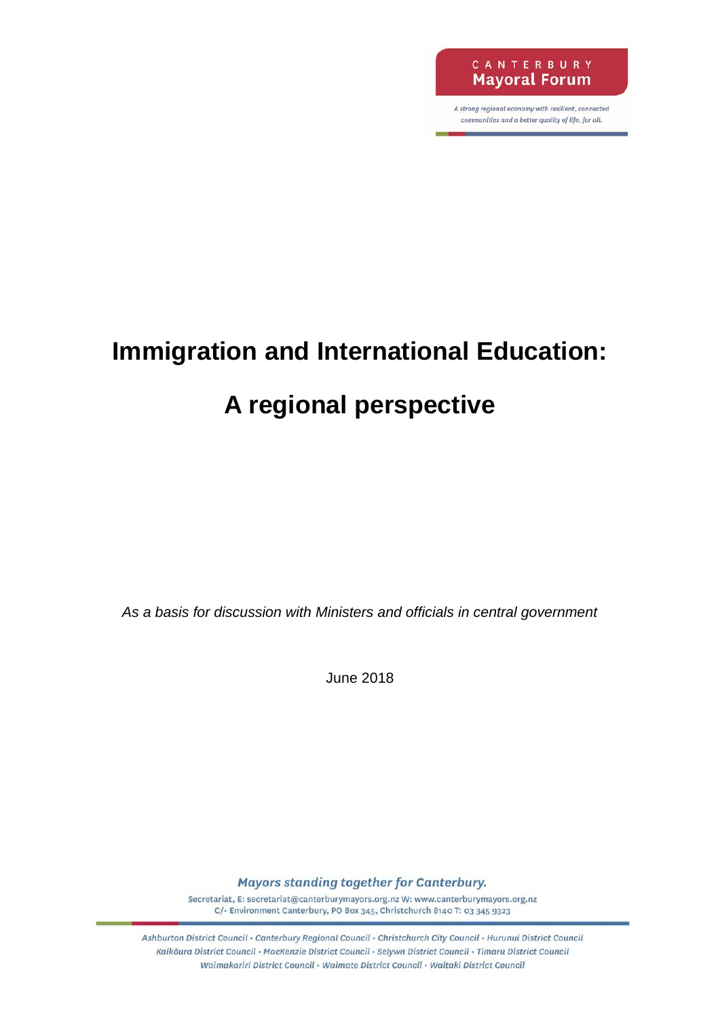

A strong regional economy with resilient, connected communities and a better quality of life, for all.

# **Immigration and International Education:**

# **A regional perspective**

*As a basis for discussion with Ministers and officials in central government*

June 2018

Mayors standing together for Canterbury.

Secretariat, E: secretariat@canterburymayors.org.nz W: www.canterburymayors.org.nz C/- Environment Canterbury, PO Box 345, Christchurch 8140 T: 03 345 9323

Ashburton District Council · Canterbury Regional Council · Christchurch City Council · Hurunui District Council Kaikoura District Council • MacKenzie District Council • Selywn District Council • Timaru District Council Waimakariri District Council · Waimate District Council · Waitaki District Council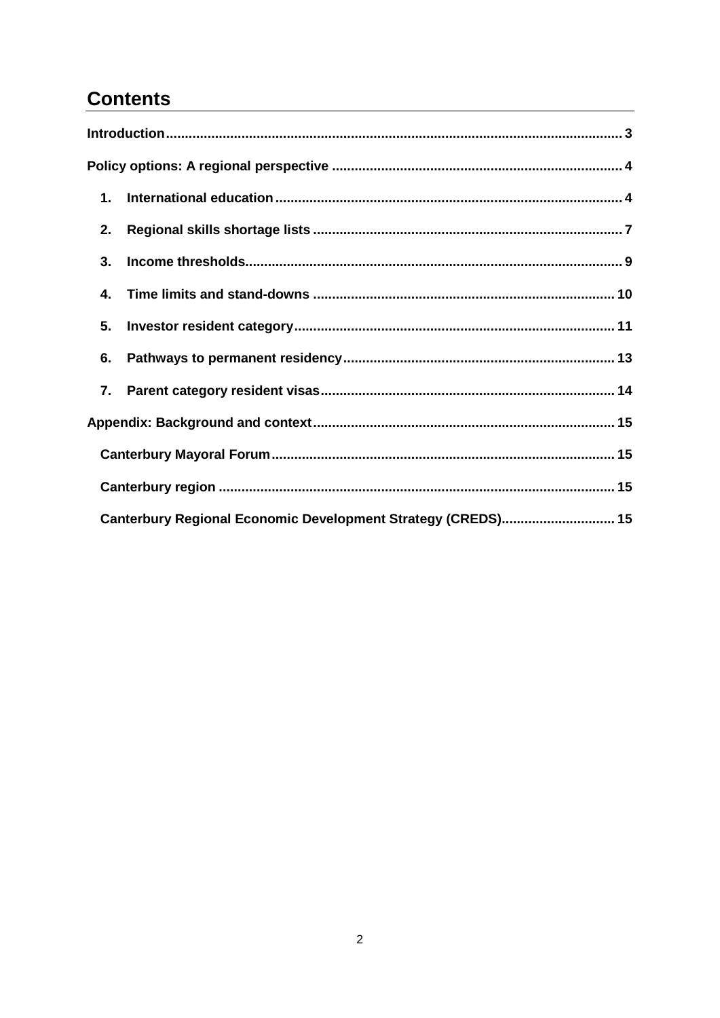# **Contents**

| 2. |                                                              |  |
|----|--------------------------------------------------------------|--|
| 3. |                                                              |  |
| 4. |                                                              |  |
| 5. |                                                              |  |
| 6. |                                                              |  |
|    |                                                              |  |
|    |                                                              |  |
|    |                                                              |  |
|    |                                                              |  |
|    | Canterbury Regional Economic Development Strategy (CREDS) 15 |  |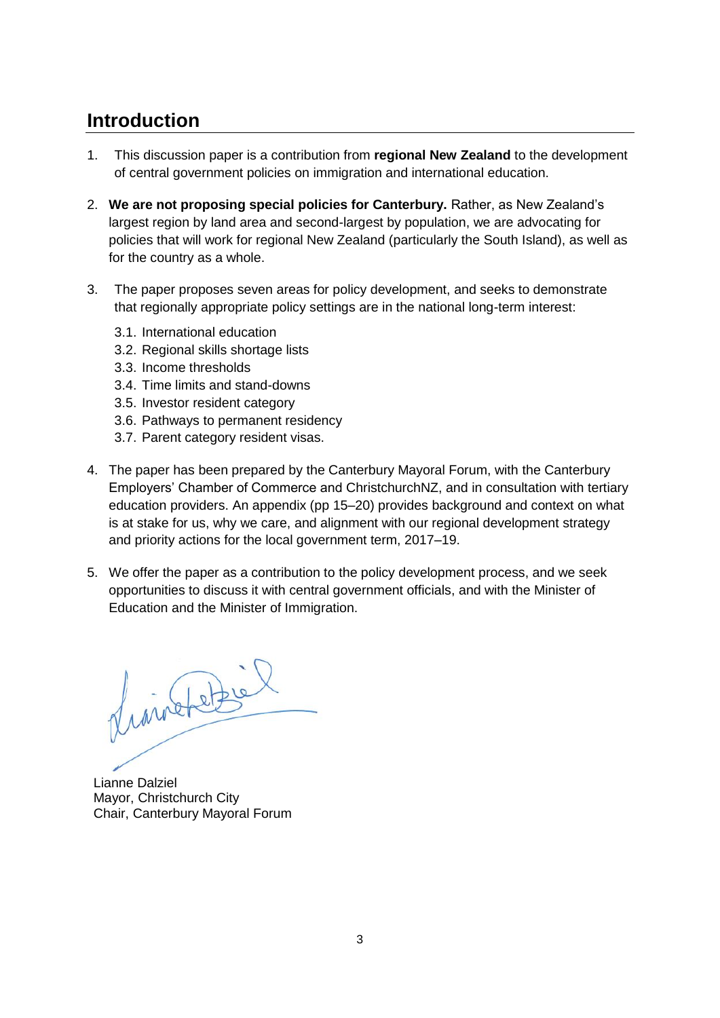# <span id="page-2-0"></span>**Introduction**

- 1. This discussion paper is a contribution from **regional New Zealand** to the development of central government policies on immigration and international education.
- 2. **We are not proposing special policies for Canterbury.** Rather, as New Zealand's largest region by land area and second-largest by population, we are advocating for policies that will work for regional New Zealand (particularly the South Island), as well as for the country as a whole.
- 3. The paper proposes seven areas for policy development, and seeks to demonstrate that regionally appropriate policy settings are in the national long-term interest:
	- 3.1. International education
	- 3.2. Regional skills shortage lists
	- 3.3. Income thresholds
	- 3.4. Time limits and stand-downs
	- 3.5. Investor resident category
	- 3.6. Pathways to permanent residency
	- 3.7. Parent category resident visas.
- 4. The paper has been prepared by the Canterbury Mayoral Forum, with the Canterbury Employers' Chamber of Commerce and ChristchurchNZ, and in consultation with tertiary education providers. An appendix (pp 15–20) provides background and context on what is at stake for us, why we care, and alignment with our regional development strategy and priority actions for the local government term, 2017–19.
- 5. We offer the paper as a contribution to the policy development process, and we seek opportunities to discuss it with central government officials, and with the Minister of Education and the Minister of Immigration.

franchetel

<span id="page-2-1"></span>Lianne Dalziel Mayor, Christchurch City Chair, Canterbury Mayoral Forum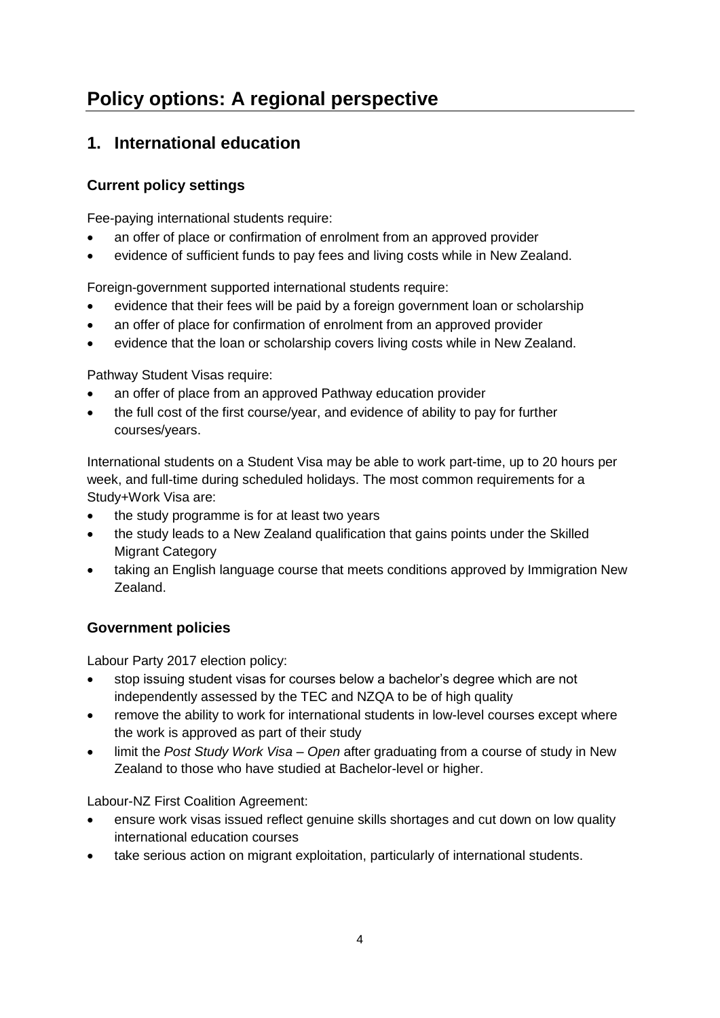# **Policy options: A regional perspective**

# <span id="page-3-0"></span>**1. International education**

## **Current policy settings**

Fee-paying international students require:

- an offer of place or confirmation of enrolment from an approved provider
- evidence of sufficient funds to pay fees and living costs while in New Zealand.

Foreign-government supported international students require:

- evidence that their fees will be paid by a foreign government loan or scholarship
- an offer of place for confirmation of enrolment from an approved provider
- evidence that the loan or scholarship covers living costs while in New Zealand.

Pathway Student Visas require:

- an offer of place from an approved Pathway education provider
- the full cost of the first course/year, and evidence of ability to pay for further courses/years.

International students on a Student Visa may be able to work part-time, up to 20 hours per week, and full-time during scheduled holidays. The most common requirements for a Study+Work Visa are:

- the study programme is for at least two years
- the study leads to a New Zealand qualification that gains points under the Skilled Migrant Category
- taking an English language course that meets conditions approved by Immigration New Zealand.

### **Government policies**

Labour Party 2017 election policy:

- stop issuing student visas for courses below a bachelor's degree which are not independently assessed by the TEC and NZQA to be of high quality
- remove the ability to work for international students in low-level courses except where the work is approved as part of their study
- limit the *Post Study Work Visa – Open* after graduating from a course of study in New Zealand to those who have studied at Bachelor-level or higher.

Labour-NZ First Coalition Agreement:

- ensure work visas issued reflect genuine skills shortages and cut down on low quality international education courses
- take serious action on migrant exploitation, particularly of international students.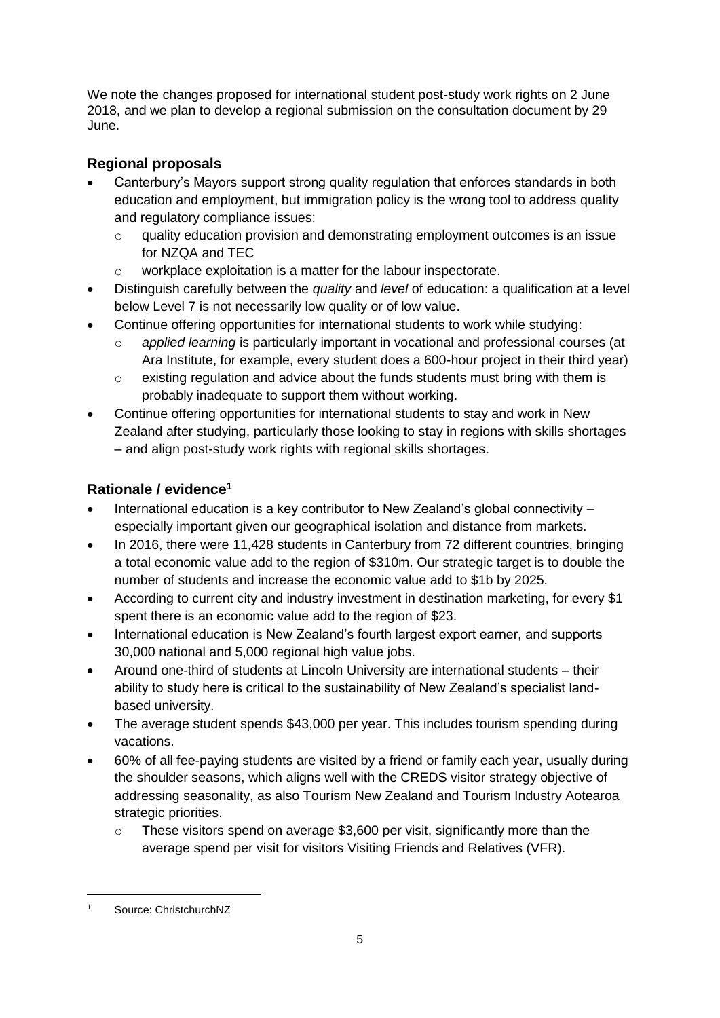We note the changes proposed for international student post-study work rights on 2 June 2018, and we plan to develop a regional submission on the consultation document by 29 June.

# **Regional proposals**

- Canterbury's Mayors support strong quality regulation that enforces standards in both education and employment, but immigration policy is the wrong tool to address quality and regulatory compliance issues:
	- o quality education provision and demonstrating employment outcomes is an issue for NZQA and TEC
	- o workplace exploitation is a matter for the labour inspectorate.
- Distinguish carefully between the *quality* and *level* of education: a qualification at a level below Level 7 is not necessarily low quality or of low value.
- Continue offering opportunities for international students to work while studying:
	- o *applied learning* is particularly important in vocational and professional courses (at Ara Institute, for example, every student does a 600-hour project in their third year)
	- $\circ$  existing regulation and advice about the funds students must bring with them is probably inadequate to support them without working.
- Continue offering opportunities for international students to stay and work in New Zealand after studying, particularly those looking to stay in regions with skills shortages – and align post-study work rights with regional skills shortages.

# **Rationale / evidence<sup>1</sup>**

- International education is a key contributor to New Zealand's global connectivity especially important given our geographical isolation and distance from markets.
- In 2016, there were 11,428 students in Canterbury from 72 different countries, bringing a total economic value add to the region of \$310m. Our strategic target is to double the number of students and increase the economic value add to \$1b by 2025.
- According to current city and industry investment in destination marketing, for every \$1 spent there is an economic value add to the region of \$23.
- International education is New Zealand's fourth largest export earner, and supports 30,000 national and 5,000 regional high value jobs.
- Around one-third of students at Lincoln University are international students their ability to study here is critical to the sustainability of New Zealand's specialist landbased university.
- The average student spends \$43,000 per year. This includes tourism spending during vacations.
- 60% of all fee-paying students are visited by a friend or family each year, usually during the shoulder seasons, which aligns well with the CREDS visitor strategy objective of addressing seasonality, as also Tourism New Zealand and Tourism Industry Aotearoa strategic priorities.
	- o These visitors spend on average \$3,600 per visit, significantly more than the average spend per visit for visitors Visiting Friends and Relatives (VFR).

-

Source: ChristchurchNZ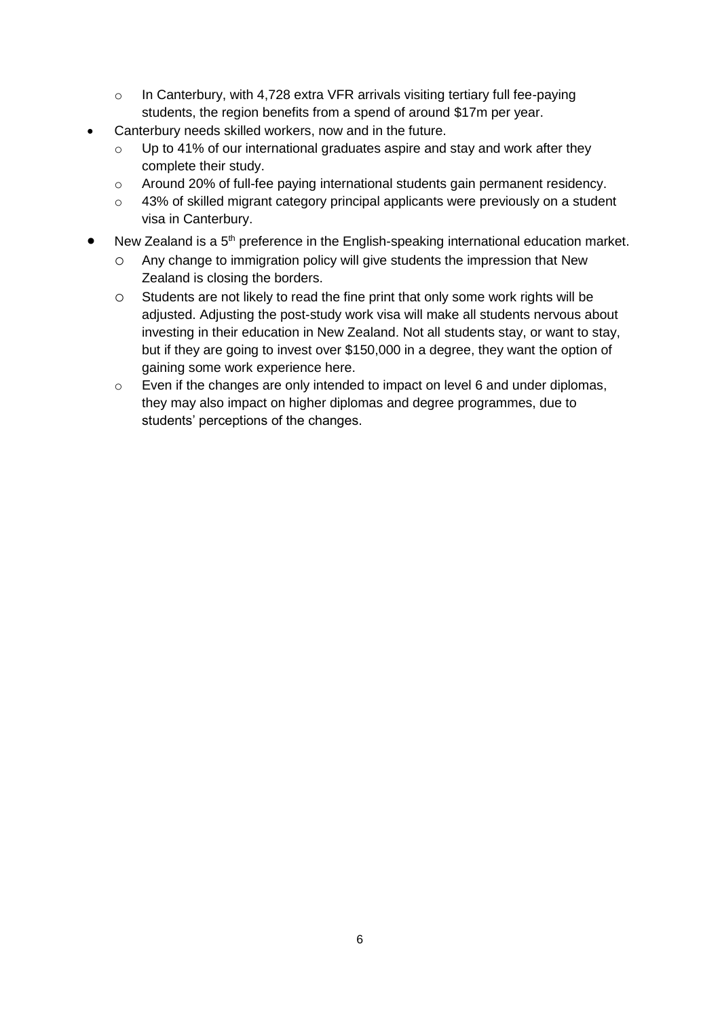- o In Canterbury, with 4,728 extra VFR arrivals visiting tertiary full fee-paying students, the region benefits from a spend of around \$17m per year.
- Canterbury needs skilled workers, now and in the future.
	- o Up to 41% of our international graduates aspire and stay and work after they complete their study.
	- o Around 20% of full-fee paying international students gain permanent residency.
	- o 43% of skilled migrant category principal applicants were previously on a student visa in Canterbury.
- New Zealand is a 5<sup>th</sup> preference in the English-speaking international education market.
	- o Any change to immigration policy will give students the impression that New Zealand is closing the borders.
	- o Students are not likely to read the fine print that only some work rights will be adjusted. Adjusting the post-study work visa will make all students nervous about investing in their education in New Zealand. Not all students stay, or want to stay, but if they are going to invest over \$150,000 in a degree, they want the option of gaining some work experience here.
	- o Even if the changes are only intended to impact on level 6 and under diplomas, they may also impact on higher diplomas and degree programmes, due to students' perceptions of the changes.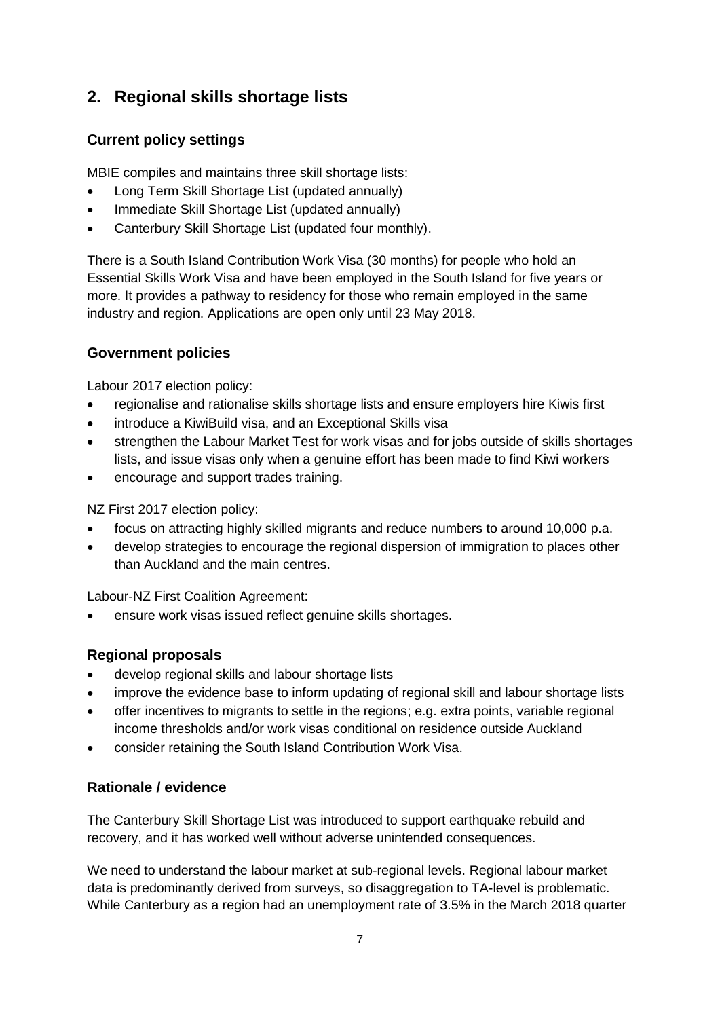# <span id="page-6-0"></span>**2. Regional skills shortage lists**

### **Current policy settings**

MBIE compiles and maintains three skill shortage lists:

- Long Term Skill Shortage List (updated annually)
- Immediate Skill Shortage List (updated annually)
- Canterbury Skill Shortage List (updated four monthly).

There is a South Island Contribution Work Visa (30 months) for people who hold an Essential Skills Work Visa and have been employed in the South Island for five years or more. It provides a pathway to residency for those who remain employed in the same industry and region. Applications are open only until 23 May 2018.

#### **Government policies**

Labour 2017 election policy:

- regionalise and rationalise skills shortage lists and ensure employers hire Kiwis first
- introduce a KiwiBuild visa, and an Exceptional Skills visa
- strengthen the Labour Market Test for work visas and for jobs outside of skills shortages lists, and issue visas only when a genuine effort has been made to find Kiwi workers
- encourage and support trades training.

NZ First 2017 election policy:

- focus on attracting highly skilled migrants and reduce numbers to around 10,000 p.a.
- develop strategies to encourage the regional dispersion of immigration to places other than Auckland and the main centres.

Labour-NZ First Coalition Agreement:

ensure work visas issued reflect genuine skills shortages.

#### **Regional proposals**

- develop regional skills and labour shortage lists
- improve the evidence base to inform updating of regional skill and labour shortage lists
- offer incentives to migrants to settle in the regions; e.g. extra points, variable regional income thresholds and/or work visas conditional on residence outside Auckland
- consider retaining the South Island Contribution Work Visa.

## **Rationale / evidence**

The Canterbury Skill Shortage List was introduced to support earthquake rebuild and recovery, and it has worked well without adverse unintended consequences.

We need to understand the labour market at sub-regional levels. Regional labour market data is predominantly derived from surveys, so disaggregation to TA-level is problematic. While Canterbury as a region had an unemployment rate of 3.5% in the March 2018 quarter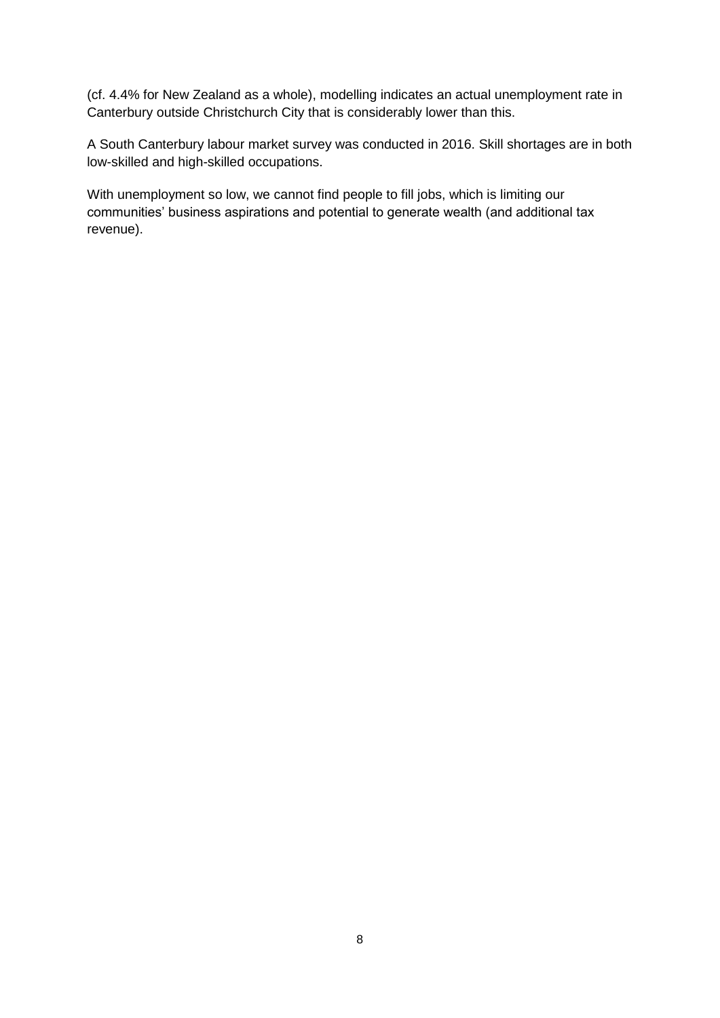(cf. 4.4% for New Zealand as a whole), modelling indicates an actual unemployment rate in Canterbury outside Christchurch City that is considerably lower than this.

A South Canterbury labour market survey was conducted in 2016. Skill shortages are in both low-skilled and high-skilled occupations.

With unemployment so low, we cannot find people to fill jobs, which is limiting our communities' business aspirations and potential to generate wealth (and additional tax revenue).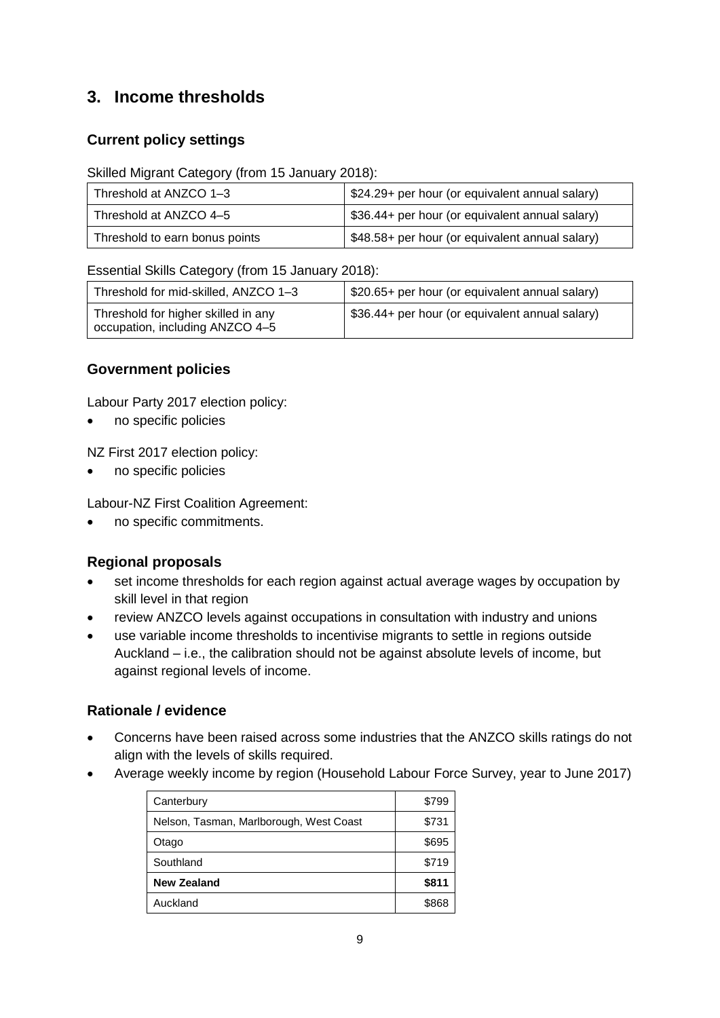# <span id="page-8-0"></span>**3. Income thresholds**

## **Current policy settings**

#### Skilled Migrant Category (from 15 January 2018):

| Threshold at ANZCO 1-3         | \$24.29+ per hour (or equivalent annual salary) |
|--------------------------------|-------------------------------------------------|
| Threshold at ANZCO 4-5         | \$36.44+ per hour (or equivalent annual salary) |
| Threshold to earn bonus points | \$48.58+ per hour (or equivalent annual salary) |

#### Essential Skills Category (from 15 January 2018):

| Threshold for mid-skilled, ANZCO 1-3                                   | \$20.65+ per hour (or equivalent annual salary) |
|------------------------------------------------------------------------|-------------------------------------------------|
| Threshold for higher skilled in any<br>occupation, including ANZCO 4-5 | \$36.44+ per hour (or equivalent annual salary) |

## **Government policies**

Labour Party 2017 election policy:

• no specific policies

NZ First 2017 election policy:

• no specific policies

Labour-NZ First Coalition Agreement:

• no specific commitments.

### **Regional proposals**

- set income thresholds for each region against actual average wages by occupation by skill level in that region
- review ANZCO levels against occupations in consultation with industry and unions
- use variable income thresholds to incentivise migrants to settle in regions outside Auckland – i.e., the calibration should not be against absolute levels of income, but against regional levels of income.

- Concerns have been raised across some industries that the ANZCO skills ratings do not align with the levels of skills required.
- Average weekly income by region (Household Labour Force Survey, year to June 2017)

| Canterbury                              | \$799 |
|-----------------------------------------|-------|
| Nelson, Tasman, Marlborough, West Coast | \$731 |
| Otago                                   | \$695 |
| Southland                               | \$719 |
| <b>New Zealand</b>                      | \$811 |
| Auckland                                | 8868. |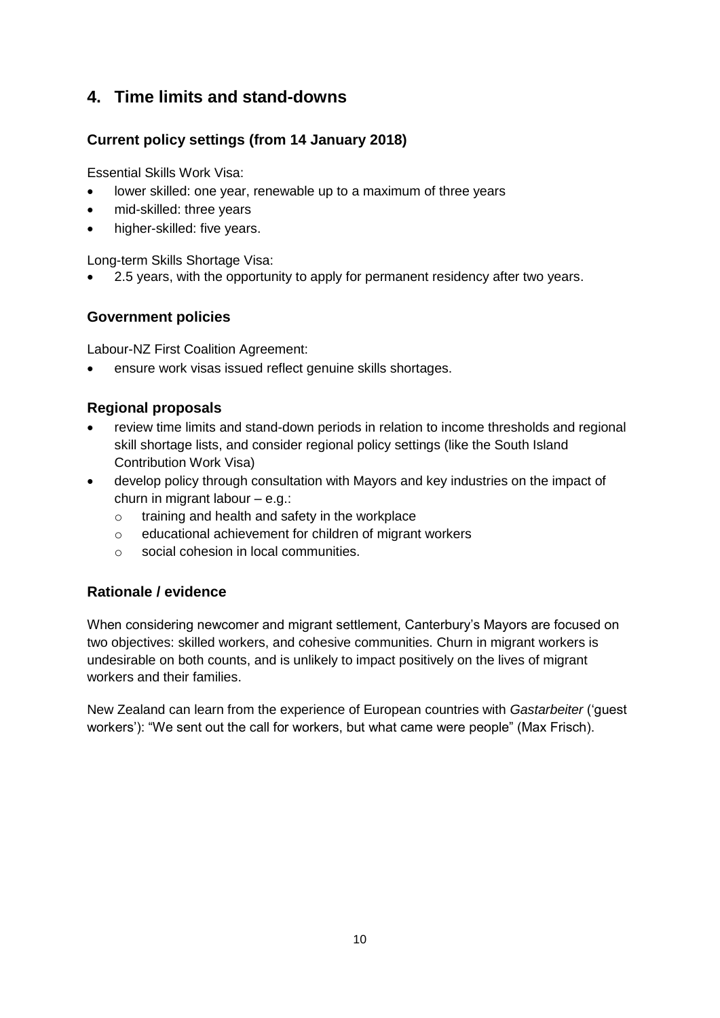# <span id="page-9-0"></span>**4. Time limits and stand-downs**

## **Current policy settings (from 14 January 2018)**

Essential Skills Work Visa:

- lower skilled: one year, renewable up to a maximum of three years
- mid-skilled: three years
- higher-skilled: five years.

Long-term Skills Shortage Visa:

• 2.5 years, with the opportunity to apply for permanent residency after two years.

#### **Government policies**

Labour-NZ First Coalition Agreement:

• ensure work visas issued reflect genuine skills shortages.

#### **Regional proposals**

- review time limits and stand-down periods in relation to income thresholds and regional skill shortage lists, and consider regional policy settings (like the South Island Contribution Work Visa)
- develop policy through consultation with Mayors and key industries on the impact of churn in migrant labour – e.g.:
	- o training and health and safety in the workplace
	- o educational achievement for children of migrant workers
	- o social cohesion in local communities.

#### **Rationale / evidence**

When considering newcomer and migrant settlement, Canterbury's Mayors are focused on two objectives: skilled workers, and cohesive communities. Churn in migrant workers is undesirable on both counts, and is unlikely to impact positively on the lives of migrant workers and their families.

New Zealand can learn from the experience of European countries with *Gastarbeiter* ('guest workers'): "We sent out the call for workers, but what came were people" (Max Frisch).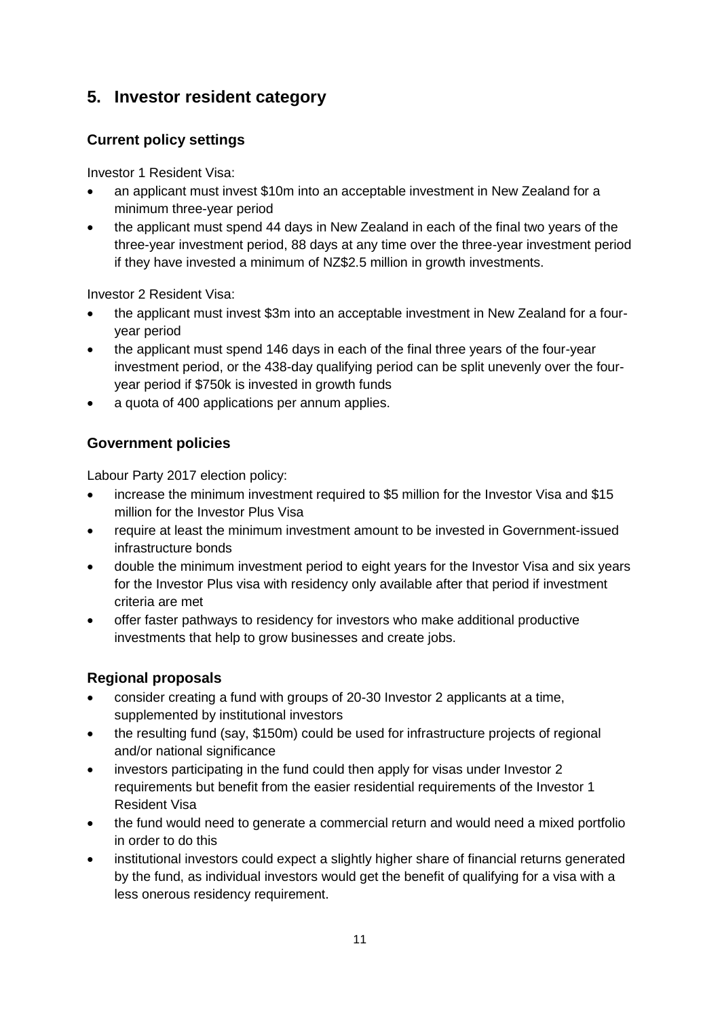# <span id="page-10-0"></span>**5. Investor resident category**

## **Current policy settings**

Investor 1 Resident Visa:

- an applicant must invest \$10m into an acceptable investment in New Zealand for a minimum three-year period
- the applicant must spend 44 days in New Zealand in each of the final two years of the three-year investment period, 88 days at any time over the three-year investment period if they have invested a minimum of NZ\$2.5 million in growth investments.

Investor 2 Resident Visa:

- the applicant must invest \$3m into an acceptable investment in New Zealand for a fouryear period
- the applicant must spend 146 days in each of the final three years of the four-year investment period, or the 438-day qualifying period can be split unevenly over the fouryear period if \$750k is invested in growth funds
- a quota of 400 applications per annum applies.

## **Government policies**

Labour Party 2017 election policy:

- increase the minimum investment required to \$5 million for the Investor Visa and \$15 million for the Investor Plus Visa
- require at least the minimum investment amount to be invested in Government-issued infrastructure bonds
- double the minimum investment period to eight years for the Investor Visa and six years for the Investor Plus visa with residency only available after that period if investment criteria are met
- offer faster pathways to residency for investors who make additional productive investments that help to grow businesses and create jobs.

## **Regional proposals**

- consider creating a fund with groups of 20-30 Investor 2 applicants at a time, supplemented by institutional investors
- the resulting fund (say, \$150m) could be used for infrastructure projects of regional and/or national significance
- investors participating in the fund could then apply for visas under Investor 2 requirements but benefit from the easier residential requirements of the Investor 1 Resident Visa
- the fund would need to generate a commercial return and would need a mixed portfolio in order to do this
- institutional investors could expect a slightly higher share of financial returns generated by the fund, as individual investors would get the benefit of qualifying for a visa with a less onerous residency requirement.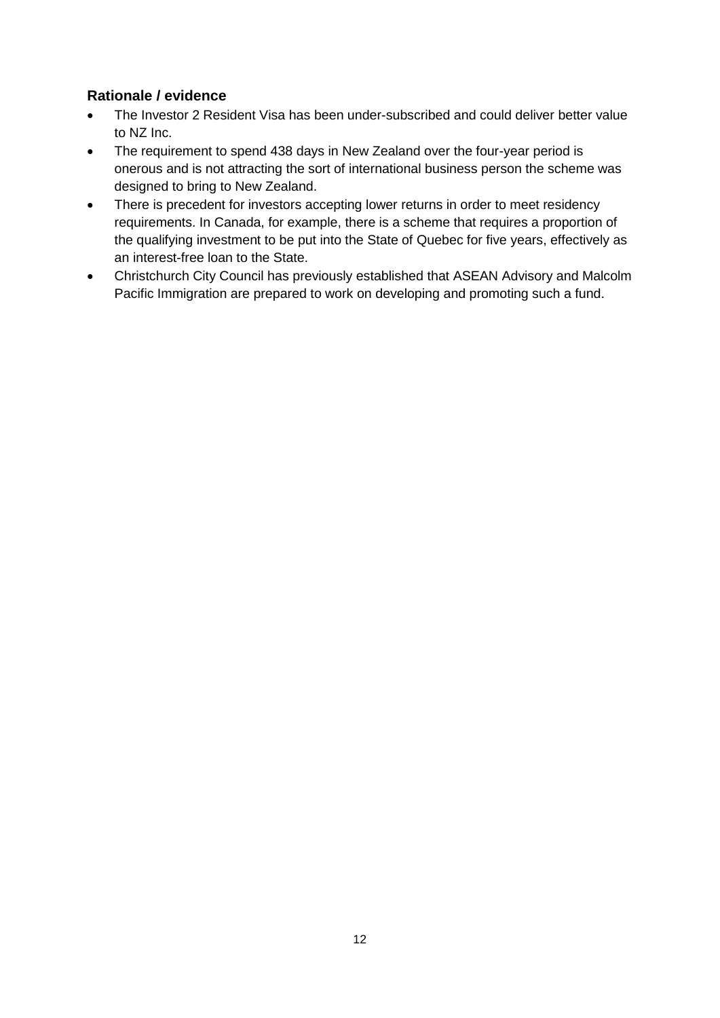- The Investor 2 Resident Visa has been under-subscribed and could deliver better value to NZ Inc.
- The requirement to spend 438 days in New Zealand over the four-year period is onerous and is not attracting the sort of international business person the scheme was designed to bring to New Zealand.
- There is precedent for investors accepting lower returns in order to meet residency requirements. In Canada, for example, there is a scheme that requires a proportion of the qualifying investment to be put into the State of Quebec for five years, effectively as an interest-free loan to the State.
- Christchurch City Council has previously established that ASEAN Advisory and Malcolm Pacific Immigration are prepared to work on developing and promoting such a fund.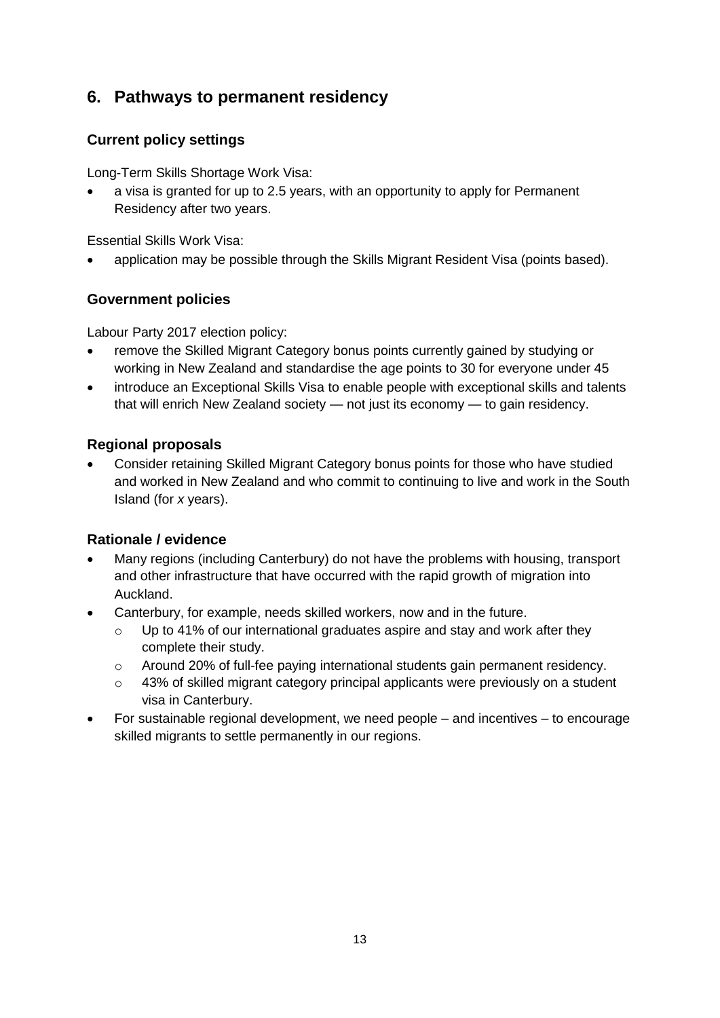# <span id="page-12-0"></span>**6. Pathways to permanent residency**

## **Current policy settings**

Long-Term Skills Shortage Work Visa:

• a visa is granted for up to 2.5 years, with an opportunity to apply for Permanent Residency after two years.

Essential Skills Work Visa:

• application may be possible through the Skills Migrant Resident Visa (points based).

#### **Government policies**

Labour Party 2017 election policy:

- remove the Skilled Migrant Category bonus points currently gained by studying or working in New Zealand and standardise the age points to 30 for everyone under 45
- introduce an Exceptional Skills Visa to enable people with exceptional skills and talents that will enrich New Zealand society — not just its economy — to gain residency.

#### **Regional proposals**

• Consider retaining Skilled Migrant Category bonus points for those who have studied and worked in New Zealand and who commit to continuing to live and work in the South Island (for *x* years).

- Many regions (including Canterbury) do not have the problems with housing, transport and other infrastructure that have occurred with the rapid growth of migration into Auckland.
- Canterbury, for example, needs skilled workers, now and in the future.
	- $\circ$  Up to 41% of our international graduates aspire and stay and work after they complete their study.
	- $\circ$  Around 20% of full-fee paying international students gain permanent residency.
	- o 43% of skilled migrant category principal applicants were previously on a student visa in Canterbury.
- For sustainable regional development, we need people and incentives to encourage skilled migrants to settle permanently in our regions.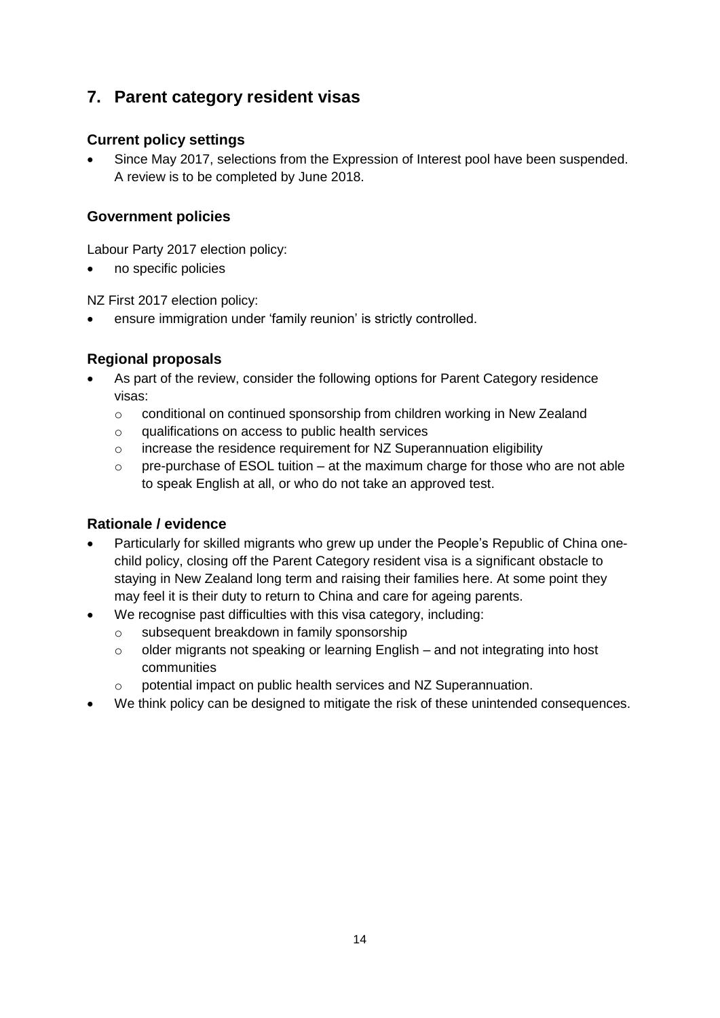# <span id="page-13-0"></span>**7. Parent category resident visas**

### **Current policy settings**

• Since May 2017, selections from the Expression of Interest pool have been suspended. A review is to be completed by June 2018.

#### **Government policies**

Labour Party 2017 election policy:

• no specific policies

NZ First 2017 election policy:

• ensure immigration under 'family reunion' is strictly controlled.

#### **Regional proposals**

- As part of the review, consider the following options for Parent Category residence visas:
	- o conditional on continued sponsorship from children working in New Zealand
	- $\circ$  qualifications on access to public health services
	- o increase the residence requirement for NZ Superannuation eligibility
	- $\circ$  pre-purchase of ESOL tuition at the maximum charge for those who are not able to speak English at all, or who do not take an approved test.

- Particularly for skilled migrants who grew up under the People's Republic of China onechild policy, closing off the Parent Category resident visa is a significant obstacle to staying in New Zealand long term and raising their families here. At some point they may feel it is their duty to return to China and care for ageing parents.
	- We recognise past difficulties with this visa category, including:
		- o subsequent breakdown in family sponsorship
		- o older migrants not speaking or learning English and not integrating into host communities
		- o potential impact on public health services and NZ Superannuation.
- We think policy can be designed to mitigate the risk of these unintended consequences.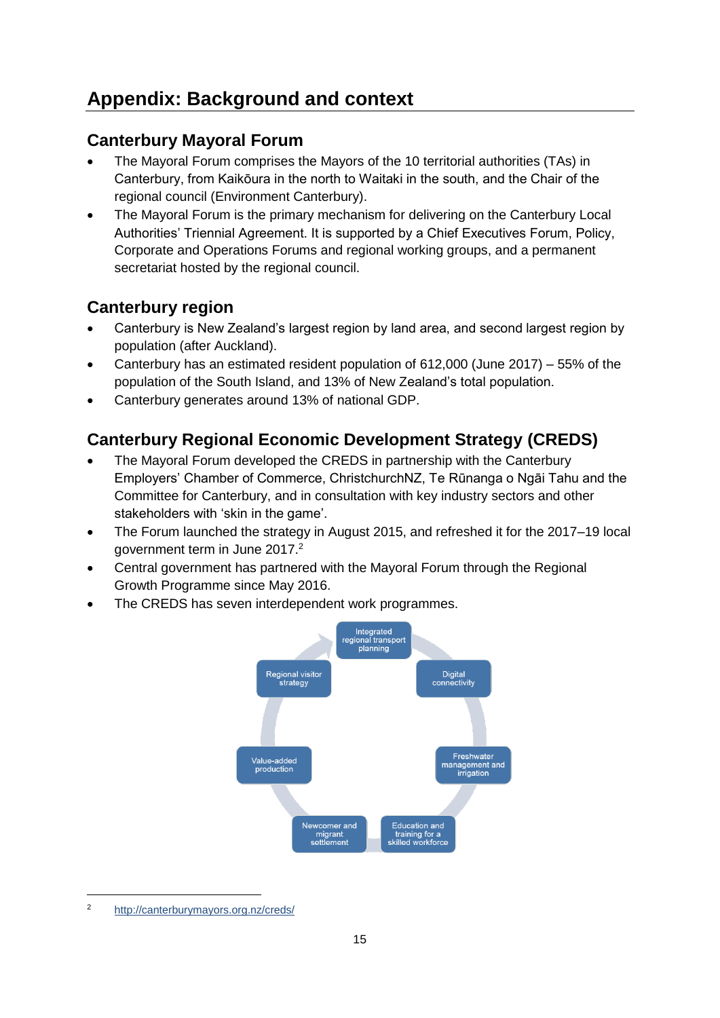# <span id="page-14-0"></span>**Appendix: Background and context**

# <span id="page-14-1"></span>**Canterbury Mayoral Forum**

- The Mayoral Forum comprises the Mayors of the 10 territorial authorities (TAs) in Canterbury, from Kaikōura in the north to Waitaki in the south, and the Chair of the regional council (Environment Canterbury).
- The Mayoral Forum is the primary mechanism for delivering on the Canterbury Local Authorities' Triennial Agreement. It is supported by a Chief Executives Forum, Policy, Corporate and Operations Forums and regional working groups, and a permanent secretariat hosted by the regional council.

# <span id="page-14-2"></span>**Canterbury region**

- Canterbury is New Zealand's largest region by land area, and second largest region by population (after Auckland).
- Canterbury has an estimated resident population of 612,000 (June 2017) 55% of the population of the South Island, and 13% of New Zealand's total population.
- Canterbury generates around 13% of national GDP.

# <span id="page-14-3"></span>**Canterbury Regional Economic Development Strategy (CREDS)**

- The Mayoral Forum developed the CREDS in partnership with the Canterbury Employers' Chamber of Commerce, ChristchurchNZ, Te Rūnanga o Ngāi Tahu and the Committee for Canterbury, and in consultation with key industry sectors and other stakeholders with 'skin in the game'.
- The Forum launched the strategy in August 2015, and refreshed it for the 2017–19 local government term in June 2017.<sup>2</sup>
- Central government has partnered with the Mayoral Forum through the Regional Growth Programme since May 2016.
- The CREDS has seven interdependent work programmes.



<sup>2</sup> <http://canterburymayors.org.nz/creds/>

-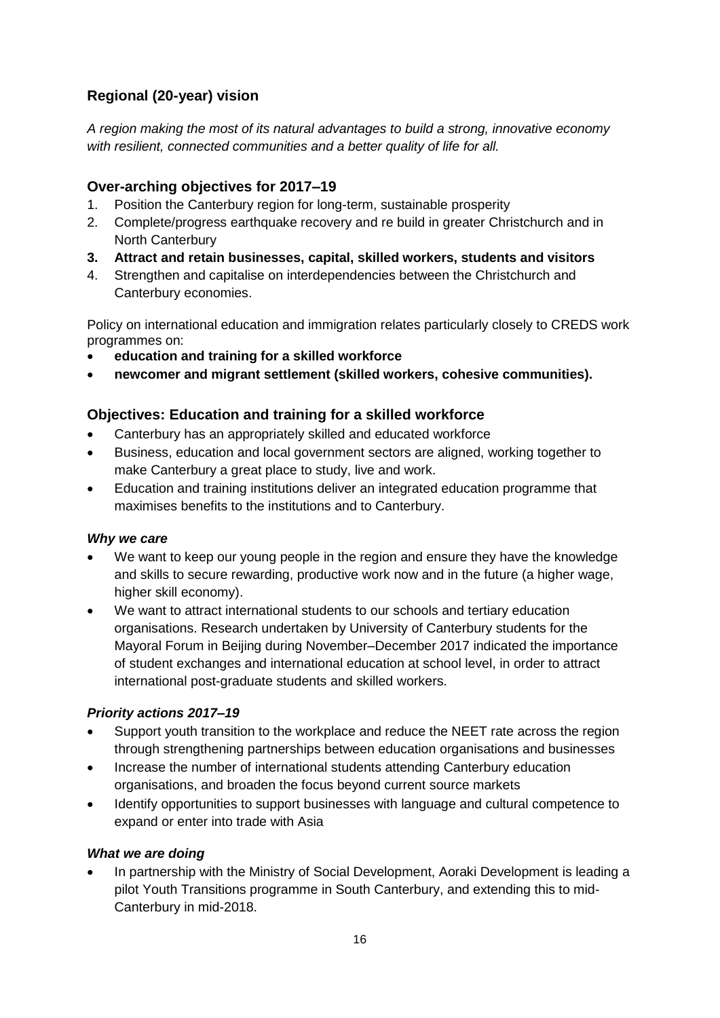## **Regional (20-year) vision**

*A region making the most of its natural advantages to build a strong, innovative economy with resilient, connected communities and a better quality of life for all.*

## **Over-arching objectives for 2017–19**

- 1. Position the Canterbury region for long-term, sustainable prosperity
- 2. Complete/progress earthquake recovery and re build in greater Christchurch and in North Canterbury
- **3. Attract and retain businesses, capital, skilled workers, students and visitors**
- 4. Strengthen and capitalise on interdependencies between the Christchurch and Canterbury economies.

Policy on international education and immigration relates particularly closely to CREDS work programmes on:

- **education and training for a skilled workforce**
- **newcomer and migrant settlement (skilled workers, cohesive communities).**

## **Objectives: Education and training for a skilled workforce**

- Canterbury has an appropriately skilled and educated workforce
- Business, education and local government sectors are aligned, working together to make Canterbury a great place to study, live and work.
- Education and training institutions deliver an integrated education programme that maximises benefits to the institutions and to Canterbury.

#### *Why we care*

- We want to keep our young people in the region and ensure they have the knowledge and skills to secure rewarding, productive work now and in the future (a higher wage, higher skill economy).
- We want to attract international students to our schools and tertiary education organisations. Research undertaken by University of Canterbury students for the Mayoral Forum in Beijing during November–December 2017 indicated the importance of student exchanges and international education at school level, in order to attract international post-graduate students and skilled workers.

### *Priority actions 2017–19*

- Support youth transition to the workplace and reduce the NEET rate across the region through strengthening partnerships between education organisations and businesses
- Increase the number of international students attending Canterbury education organisations, and broaden the focus beyond current source markets
- Identify opportunities to support businesses with language and cultural competence to expand or enter into trade with Asia

### *What we are doing*

• In partnership with the Ministry of Social Development, Aoraki Development is leading a pilot Youth Transitions programme in South Canterbury, and extending this to mid-Canterbury in mid-2018.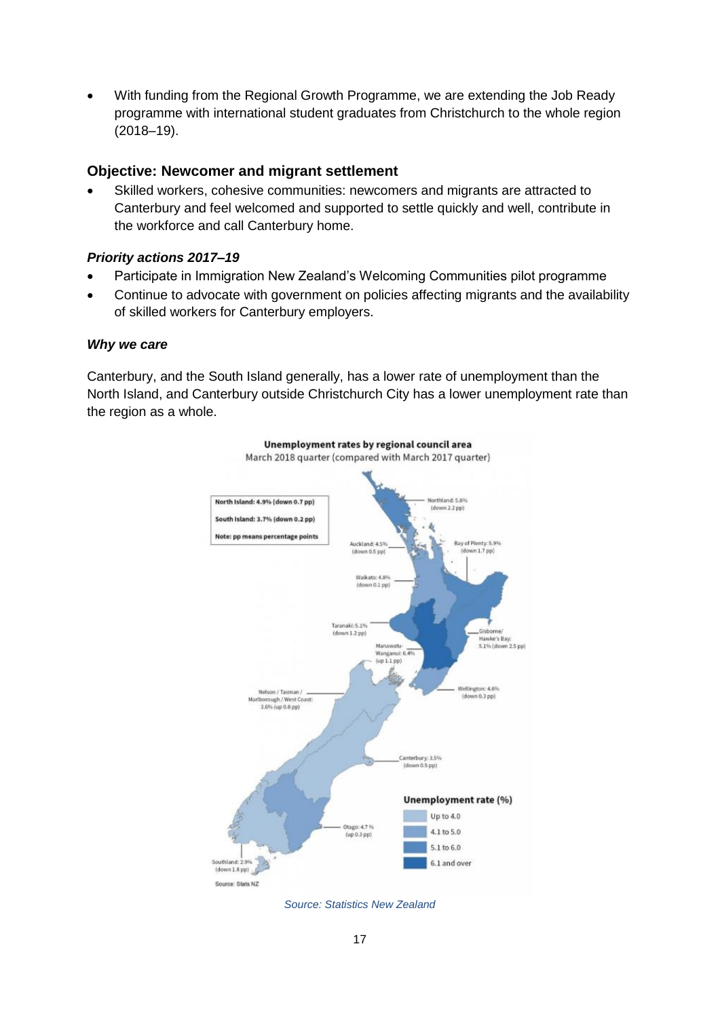• With funding from the Regional Growth Programme, we are extending the Job Ready programme with international student graduates from Christchurch to the whole region (2018–19).

#### **Objective: Newcomer and migrant settlement**

Skilled workers, cohesive communities: newcomers and migrants are attracted to Canterbury and feel welcomed and supported to settle quickly and well, contribute in the workforce and call Canterbury home.

#### *Priority actions 2017–19*

- Participate in Immigration New Zealand's Welcoming Communities pilot programme
- Continue to advocate with government on policies affecting migrants and the availability of skilled workers for Canterbury employers.

#### *Why we care*

Canterbury, and the South Island generally, has a lower rate of unemployment than the North Island, and Canterbury outside Christchurch City has a lower unemployment rate than the region as a whole.



*Source: Statistics New Zealand*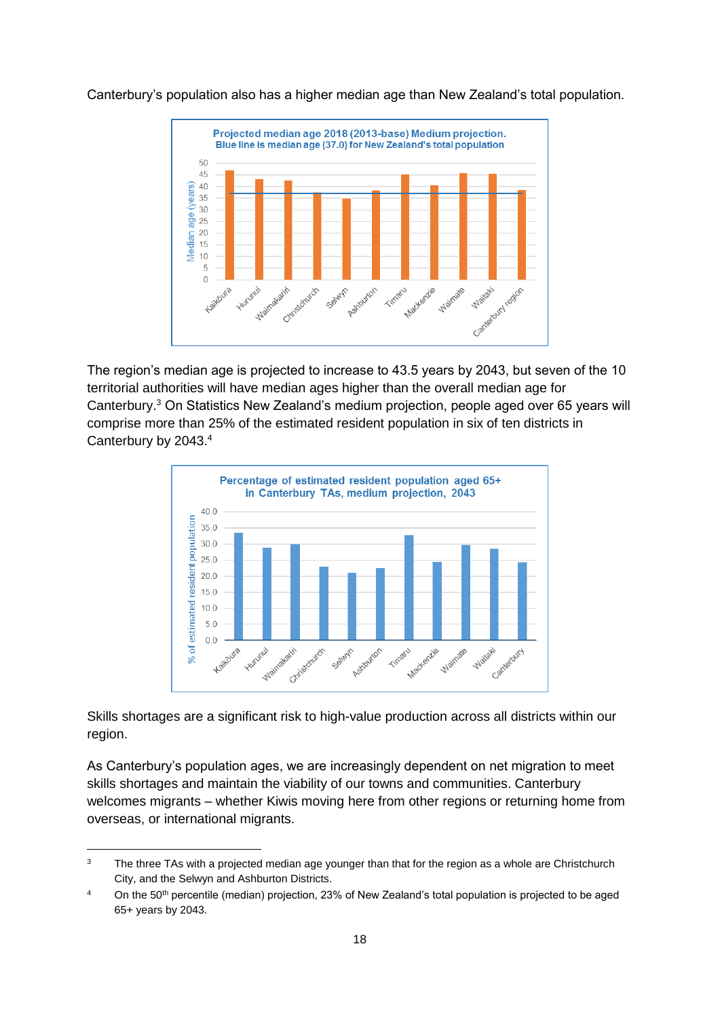Canterbury's population also has a higher median age than New Zealand's total population.



The region's median age is projected to increase to 43.5 years by 2043, but seven of the 10 territorial authorities will have median ages higher than the overall median age for Canterbury.<sup>3</sup> On Statistics New Zealand's medium projection, people aged over 65 years will comprise more than 25% of the estimated resident population in six of ten districts in Canterbury by 2043.<sup>4</sup>



Skills shortages are a significant risk to high-value production across all districts within our region.

As Canterbury's population ages, we are increasingly dependent on net migration to meet skills shortages and maintain the viability of our towns and communities. Canterbury welcomes migrants – whether Kiwis moving here from other regions or returning home from overseas, or international migrants.

-

 $3$  The three TAs with a projected median age younger than that for the region as a whole are Christchurch City, and the Selwyn and Ashburton Districts.

<sup>&</sup>lt;sup>4</sup> On the 50<sup>th</sup> percentile (median) projection, 23% of New Zealand's total population is projected to be aged 65+ years by 2043.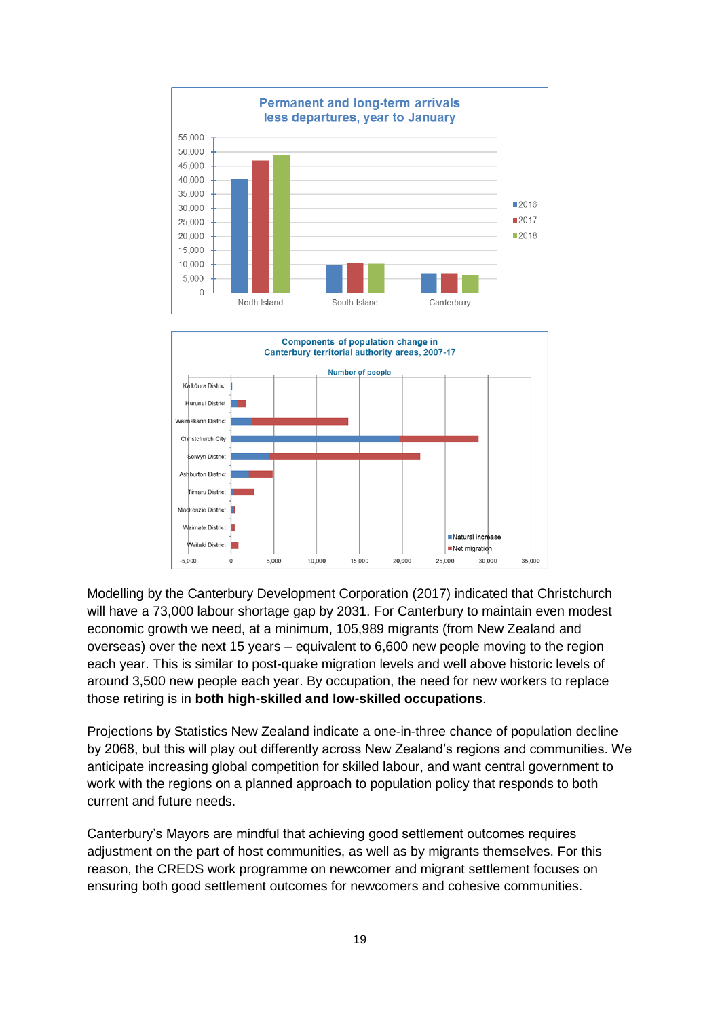



Modelling by the Canterbury Development Corporation (2017) indicated that Christchurch will have a 73,000 labour shortage gap by 2031. For Canterbury to maintain even modest economic growth we need, at a minimum, 105,989 migrants (from New Zealand and overseas) over the next 15 years – equivalent to 6,600 new people moving to the region each year. This is similar to post-quake migration levels and well above historic levels of around 3,500 new people each year. By occupation, the need for new workers to replace those retiring is in **both high-skilled and low-skilled occupations**.

Projections by Statistics New Zealand indicate a one-in-three chance of population decline by 2068, but this will play out differently across New Zealand's regions and communities. We anticipate increasing global competition for skilled labour, and want central government to work with the regions on a planned approach to population policy that responds to both current and future needs.

Canterbury's Mayors are mindful that achieving good settlement outcomes requires adjustment on the part of host communities, as well as by migrants themselves. For this reason, the CREDS work programme on newcomer and migrant settlement focuses on ensuring both good settlement outcomes for newcomers and cohesive communities.